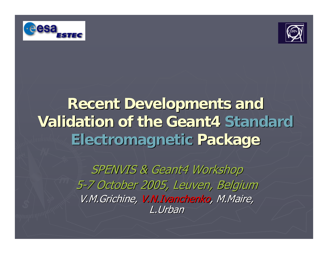



#### **Recent Developments and Validation of the Geant4 Validation of the Geant4 Standard StandardElectromagnetic Electromagnetic Package Package**

SPENVIS & Geant4 Workshop 5-7 October 2005, Leuven, Belgium V.M.Grichine, V.N.Ivanchenko, M.Maire, L.Urban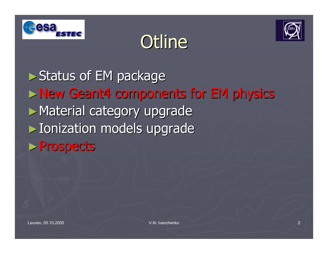





► Status of EM package ►New Geant4 components for EM physics New Geant4 components for EM physics ► Material category upgrade ► Ionization models upgrade ►Prospects Prospects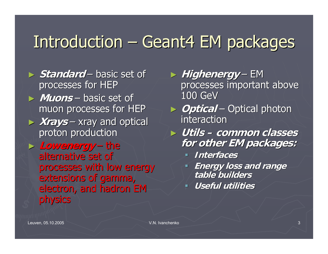#### Introduction · – Geant4 EM packages

- ► *Standard* – basic set of  $\overline{\phantom{a}}$ processes for HEP ► **Muons** – basic set of  $\overline{\phantom{a}}$ muon processes for HEP
- ► **Xrays**  $\mathcal{L}_{\mathcal{A}}$  $-$  xray and optical  $\overline{\phantom{a}}$ proton production
- ► **Lowenergy Lowenergy** – the alternative set of processes with low energy extensions of gamma, electron, and hadron EM physics
- ► *Highenergy* – EM processes important above 100 GeV
- ► **Optical Optical**  $\mathcal{L}_{\mathcal{A}}$ – Optical photon interaction
- ► **Utils – common classes common classes for other EM packages: for other EM packages:**
	- **Interfaces Interfaces**
	- **Energy loss and range Energy loss and range table builders table builders**
	- **Useful utilities**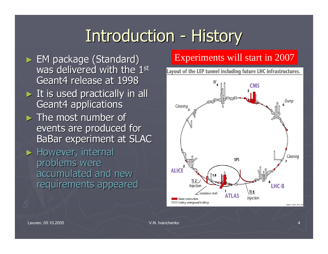#### **Introduction** - History

 $\triangleright$  EM package (Standard) was delivered with the  $1^{\rm st}$ Geant4 release at 1998  $\triangleright$  It is used practically in all **Geant4 applications**  $\triangleright$  The most number of events are produced for BaBar experiment at SLAC  $\blacktriangleright$  However, internal problems were accumulated and new requirements appeared

#### Experiments will start in 2007

Layout of the LEP tunnel including future LHC infrastructures.

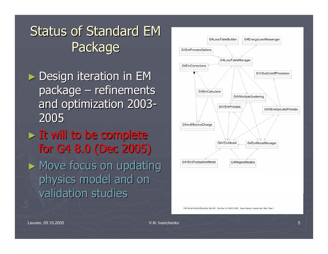#### Status of Standard EM Package

- $\triangleright$  Design iteration in EM package  $\cdot$  $\mathcal{L}_{\mathcal{A}}$  $-$  refinements  $\overline{\phantom{a}}$ and optimization 2003 -2005
- $>$  It will to be complete for G4 8.0 (Dec 2005) for G4 8.0 (Dec 2005)  $\blacktriangleright$  Move focus on updating physics model and on validation studies



File: /home/vnivanch/Rose/rose\_utils.mdl Vved Seo 14 13:06:31 2005 Class Diagram: Logical View / Main Page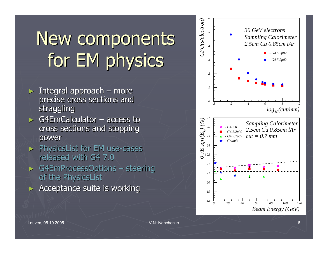# New components for EM physics

- $\triangleright$  Integral approach  $\cdot$ – more precise cross sections and straggling
- $\triangleright$  G4EmCalculator access to cross sections and stopping cross sections and stopping power
- > PhysicsList for EM use-cases released with G4 7.0 ► G4EmProcessOptions – steering
- of the PhysicsList
- ►Acceptance suite is working

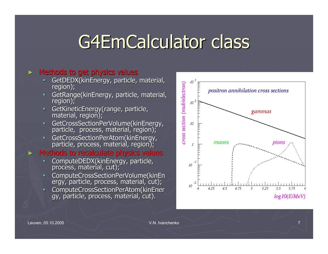## G4EmCalculator class

#### $>$  Methods to get physics values

- GetDEDX(kinEnergy, particle, material, region);
- GetRange(kinEnergy, particle, material, region);
- GetKineticEnergy(range, particle, material, region);
- $\blacksquare$ GetCrossSectionPerVolume(kinEnergy, particle, process, material, region);
- GetCrossSectionPerAtom(kinEnergy, particle, process, material, region);

#### ►Methods to recalculate physics values

- ComputeDEDX(kinEnergy, particle, process, material, cut);
- **ComputeCrossSectionPerVolume(kinEn** ergy, particle, process, material, cut);
- ComputeCrossSectionPerAtom(kinEner ComputeCrossSectionPerAtom(kinEner gy, particle, process, material, cut).

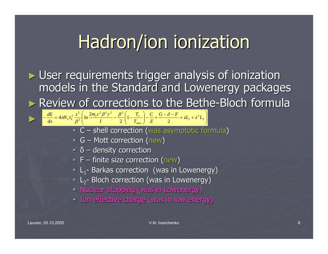## Hadron/ion ionization

 $\blacktriangleright$  User requirements trigger analysis of ionization models in the Standard and Lowenergy packages ► Review of corrections to the Bethe-Bloch formula  $-\frac{dE}{dx} = 4\pi N_e r_0^2 \frac{z}{\beta^2} \left[ \ln \frac{2m_e c}{I} - \frac{\beta}{2} \right] \left[ 1 - \frac{I_c}{T_{\text{max}}} \right] - \frac{C}{Z} + \frac{G - \delta - F}{2} + zL_1 + z^2 L_2$ ⎠ ⎞ ⎜ ⎜ ⎝  $\big($  $+zL_{_1}+$  $-\frac{C}{7}+\frac{C-\theta}{2}$ ⎠ ⎞ ⎝  $-\frac{dE}{dr} = 4\pi N_e r_0^2 \frac{z^2}{a^2} \left[ \ln \frac{2m_e c^2 \beta^2 \gamma^2}{L} - \frac{\beta^2}{2} \left( 1 - \frac{T_c}{T} \right) - \frac{C}{7} + \frac{G - \delta - F}{2} + zL_1 + z^2 L_2 \right]$  $x_1 + z^2$ max $^{2}R^{2}v^{2}$   $R^{2}$ 2  $4\pi N_e r_0^2 \frac{z^2}{\beta^2} \left[ \ln \frac{2m_e c^2 \beta^2 \gamma^2}{I} - \frac{\beta^2}{2} \left( 1 - \frac{T_c}{T_{\text{max}}} \right) - \frac{C}{Z} + \frac{G - \delta - F}{2} + zL_1 + z^2 L_2 \right]$ *ZC TT I* $\frac{dE}{dx} = 4\pi N_e r_0^2 \frac{z^2}{\beta^2} \ln \frac{2m_e c}{m_e}$  $\frac{dE}{dx} = 4\pi N_e r_0^2 \frac{z^2}{\rho^2} \left[ \ln \frac{2m_e c^2 \beta^2 \gamma^2}{L} - \frac{\beta^2}{2} \right] \left[ 1 - \frac{T_e}{T_e} \right]$  $\beta^2 \gamma^2 \beta^2 \begin{pmatrix} T_c \end{pmatrix} C \beta - \delta$  $\frac{\pi r}{e}$ r<sub>0</sub>  $\frac{\pi}{\beta}$ 

- **C** shell correction (was asymptotic formula)
- $\blacksquare$  G Mott correction (new)
- $\bullet$   $\delta$  density correction
- $\blacksquare$  F finite size correction (new)
- L<sub>1</sub>- Barkas correction (was in Lowenergy)
- $\blacksquare$  L<sub>2</sub>- Bloch correction (was in Lowenergy)
- **F** Nuclear stopping (was in Lowenergy)
- **Ion effective charge (was in low energy)**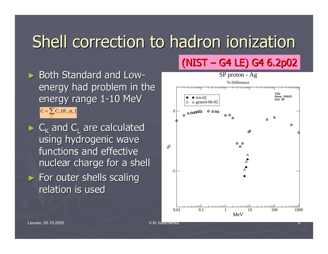### Shell correction to hadron ionization

 $\triangleright$  Both Standard and Low energy had problem in the energy range 1-10 MeV  $C=\sum C_{\scriptscriptstyle V}(\theta_{\scriptscriptstyle V},\eta_{\scriptscriptstyle V})$ ν

 $\triangleright$  C<sub>K</sub> and C<sub>L</sub> are calculated using hydrogenic wave functions and effective nuclear charge for a shell  $\blacktriangleright$  For outer shells scaling relation is used



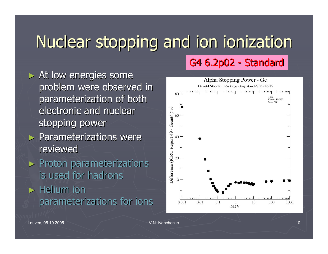### Nuclear stopping and ion ionization

 $\blacktriangleright$  At low energies some problem were observed in parameterization of both electronic and nuclear stopping power

- $\blacktriangleright$  Parameterizations were reviewed
- $\blacktriangleright$  Proton parameterizations is used for hadrons
- $\blacktriangleright$  Helium ion parameterizations for ions

#### Alpha Stopping Power - Ge Geant4 Standard Package - tag stand-V06-02-06 Name SPdiff1  $Size 30$ - Geant4) % 60 Oifference (ICRU Report 49  $40^{\circ}$ 20  $\overline{0}$  $0.01$  $0.1$ 10 100 1000  $0.001$ MeV

G4 6.2p02

- Standard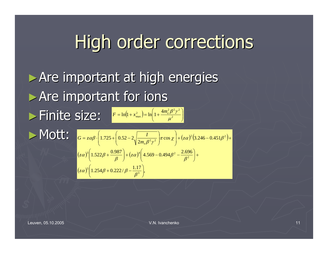## High order corrections

 $\triangleright$  Are important at high energies ► Are important for ions  $\blacktriangleright$  Finite size:  $\frac{F = \ln(1 + x_{\max}^2) = \ln\left(1 + \frac{4m_e^2 \beta^2 \gamma^2}{\mu^2}\right)}{F}$ ►Mott: ⎠ ⎞ ⎜ ⎝  $=\ln(1+x_{\text{max}}^2)=\ln(1+\frac{4m_e^2\beta}{\mu^2})$  $\lim_{\text{max}}$ ) =  $\ln\left(1+\frac{4m_e^2\beta^2\gamma^2}{r^2}\right)$  $\ln(1+x^2) = \ln(1+\frac{4}{x^2})$ μ  $F = \ln(1 + x_{max}^2) = \ln\left(1 + \frac{4m_e^2 \beta^2 \gamma}{2}\right)$ 

$$
G = z\alpha\beta \cdot \left(1.725 + \left(0.52 - 2\sqrt{\frac{I}{2m_e\beta^2\gamma^2}}\right)\pi\cos\chi\right) + (z\alpha)^2\left(3.246 - 0.451\beta^2\right) +
$$
  

$$
(z\alpha)^3\left(1.522\beta + \frac{0.987}{\beta}\right) + (z\alpha)^4\left(4.569 - 0.494\beta^2 - \frac{2.696}{\beta^2}\right) +
$$
  

$$
(z\alpha)^5\left(1.254\beta + 0.222/\beta - \frac{1.17}{\beta^3}\right),
$$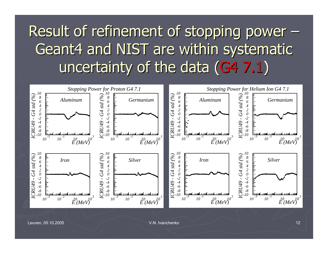#### Result of refinement of stopping power  $\cdot$  $\sim$  –  $\sim$  –  $\sim$ Geant4 and NIST are within systematic Geant4 and NIST are within systematic uncertainty of the data (G4 7.1)

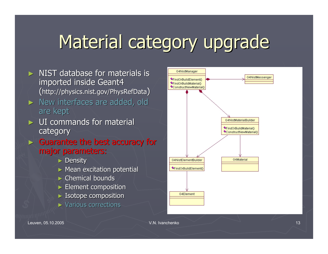## Material category upgrade

- $\triangleright$  NIST database for materials is imported inside Geant4  $(\hbox{http://physics.nist.gov/PhysRefData)}$
- $\triangleright$  New interfaces are added, old are kept
- $\triangleright$  UI commands for material category
- $\triangleright$  Guarantee the best accuracy for major parameters:
	- $\blacktriangleright$  Density
	- $\triangleright$  Mean excitation potential
	- $\triangleright$  Chemical bounds
	- $\triangleright$  Element composition
	- $\blacktriangleright$  Isotope composition
	- $\triangleright$  Various corrections

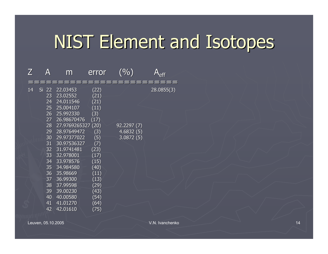### NIST Element and Isotopes

| $\boldsymbol{Z}$ | A        | m             | error | $\frac{1}{2}$ | eff        |
|------------------|----------|---------------|-------|---------------|------------|
| 14               | 22<br>Si | 22.03453      | (22)  |               | 28.0855(3) |
|                  | 23       | 23.02552      | (21)  |               |            |
|                  | 24       | 24.011546     | (21)  |               |            |
|                  | 25       | 25.004107     | (11)  |               |            |
|                  | 26       | 25.992330     | (3)   |               |            |
|                  | 27       | 26.98670476   | (17)  |               |            |
|                  | 28       | 27.9769265327 | (20)  | 92.2297(7)    |            |
|                  | 29       | 28.97649472   | (3)   | 4.6832(5)     |            |
|                  | 30       | 29.97377022   | (5)   | 3.0872(5)     |            |
|                  | 31       | 30.97536327   | (7)   |               |            |
|                  | 32       | 31.9741481    | (23)  |               |            |
|                  | 33       | 32.978001     | (17)  |               |            |
|                  | 34       | 33.978576     | (15)  |               |            |
|                  | 35       | 34.984580     | (40)  |               |            |
|                  | 36       | 35.98669      | (11)  |               |            |
|                  | 37       | 36.99300      | (13)  |               |            |
|                  | 38       | 37.99598      | (29)  |               |            |
|                  | 39       | 39.00230      | (43)  |               |            |
|                  | 40       | 40.00580      | (54)  |               |            |
|                  | 41       | 41.01270      | (64)  |               |            |
|                  | 42       | 42.01610      | (75)  |               |            |
|                  |          |               |       |               |            |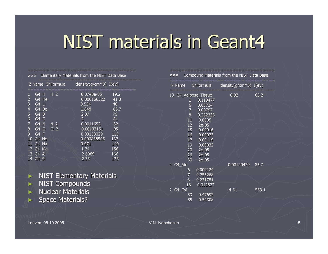#### NIST materials in Geant4

#### ==================================== $###$  Elementary Materials from the NIST Data Base ==================================Z Name ChFormula density(g/cm^3) I(eV) ====================================G4 H H 2 8.3748e-05 19.2 2 G4 He 0.000166322 41.8 3 G4\_Li 0.534 40 4 G4 Be 1.848 63.7 5 G4\_B 2.37 76<br>6 G4 C 2 81  $\begin{array}{cccc} 6 & 64 \text{ C} & 2 & 81 \\ 7 & 64 \text{ N} & \text{N} & 2 & 0.0011652 & 82 \end{array}$ 7 G4 N N 2 0.0011652 8 G4 O O 2 0.00133151 95 9 G4 F 0.00158029 115 10 G4\_Ne 0.000838505 137 11 G4 Na  $\frac{11}{2}$  0.971 149 12 G4\_Mg 1.74 156<br>13 G4 Al 2.6989 166 2.6989<br>2.33 \_\_ \_ 14 G4 Si 2.33 173

►**NIST Elementary Materials** ► NIST Compounds ► $\blacktriangleright$  Nuclear Materials

 $\blacktriangleright$  Space Materials?

| ###                                                                                                                                 |                                                                                                                                        | Compound Materials from the NIST Data Base |       |
|-------------------------------------------------------------------------------------------------------------------------------------|----------------------------------------------------------------------------------------------------------------------------------------|--------------------------------------------|-------|
| N Name                                                                                                                              | -----------<br>ChFormula                                                                                                               | density(g/cm^3) I(eV)                      | ===== |
| 13 G4_Adipose_Tissue<br>$\mathbf{1}$<br>$\overline{6}$<br>$\overline{7}$<br>8<br>11<br>12<br>15<br>16<br>17<br>19<br>20<br>26<br>30 | 0.119477<br>0.63724<br>0.00797<br>0.232333<br>0.0005<br>$2e-05$<br>0.00016<br>0.00073<br>0.00119<br>0.00032<br>2e-05<br>2e-05<br>2e-05 | 0.92                                       | 63.2  |
| 4 G4_Air<br>6<br>7<br>8<br>18                                                                                                       | 0.000124<br>0.755268<br>0.231781<br>0.012827                                                                                           | 0.00120479                                 | 85.7  |
| 2 G4_CsI<br>53<br>55                                                                                                                | 0.47692<br>0.52308                                                                                                                     | 4.51                                       | 553.1 |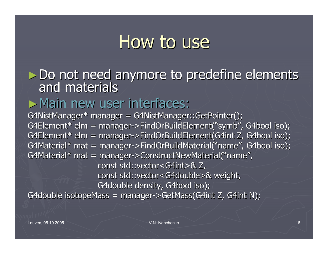#### How to use

► Do not need anymore to predefine elements and materials

#### ► Main new user interfaces:

G4NistManager\* manager = G4NistManager::GetPointer(); G4Element\* elm = manager->FindOrBuildElement("symb", G4bool iso); G4Element\* elm = manager->FindOrBuildElement(G4int Z, G4bool iso); G4Material\* mat = manager->FindOrBuildMaterial("name", G4bool iso); G4Material\* mat = manager->ConstructNewMaterial("name"  $\mathbf{I}$ const std::vector<G4int>& Z, const std::vector<G4double>& weight, G4double density, G4bool iso); G4double isotopeMass = manager->GetMass(G4int Z, G4int N);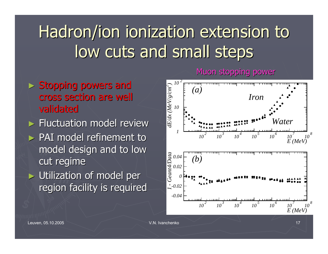### Hadron/ion ionization extension to low cuts and small steps

- $>$  Stopping powers and cross section are well cross section are well validated
- $\blacktriangleright$  Fluctuation model review  $\triangleright$  PAI model refinement to model design and to low cut regime
- $\triangleright$  Utilization of model per region facility is required



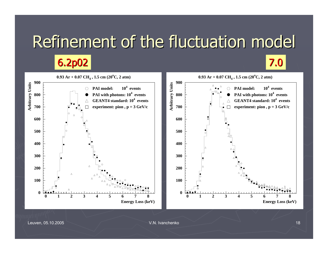### Refinement of the fluctuation model

**6.2p02** 7.0

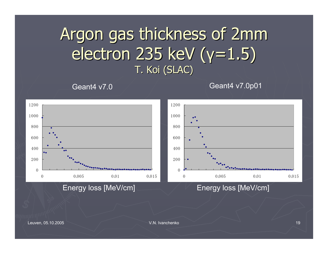#### Argon gas thickness of 2mm electron 235 keV (γ=1.5) T. Koi (SLAC)

Geant4 v7.0

Geant4 v7.0p01



Energy loss [MeV/cm] Energy loss [MeV/cm]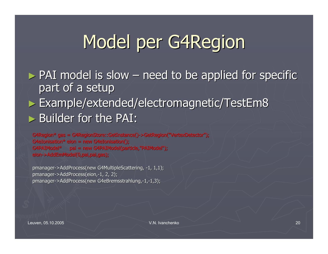# Model per G4Region

 $\triangleright$  PAI model is slow  $\cdot$  $\mathcal{L}_{\mathcal{A}}$  $-$  need to be applied for specific part of a setup

► Example/extended/electromagnetic/TestEm8 ► Builder for the PAI:

```
G4Region* gas = G4RegionStore::GetInstance()->GetRegion("VertexDetector");
G4eIonisation* eion = new G4eIonisation();
G4PAIModel* pai = new G4PAIModel(particle,"PAIModel");
eion->AddEmModel(0,pai,pai,gas);
```
pmanager->AddProcess(new G4MultipleScattering, -1, 1,1); pmanager->AddProcess(eion,-1, 2, 2); pmanager->AddProcess(new G4eBremsstrahlung,-1,-1,3);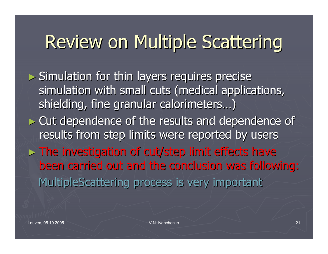## Review on Multiple Scattering

 $\blacktriangleright$  Simulation for thin layers requires precise simulation with small cuts (medical applications, shielding, fine granular calorimeters...)

 $\triangleright$  Cut dependence of the results and dependence of results from step limits were reported by users

 $>$  The investigation of cut/step limit effects have been carried out and the conclusion was following: MultipleScattering process is very important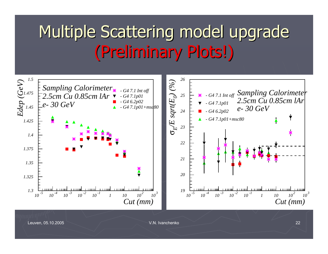#### Multiple Scattering model upgrade (Preliminary Plots!) (Preliminary Plots!)

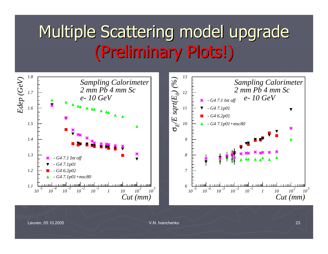#### Multiple Scattering model upgrade (Preliminary Plots!) (Preliminary Plots!)

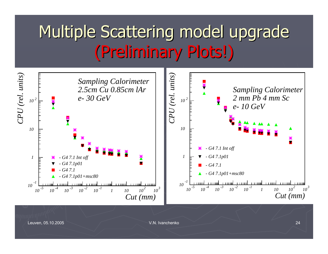#### Multiple Scattering model upgrade (Preliminary Plots!) (Preliminary Plots!)